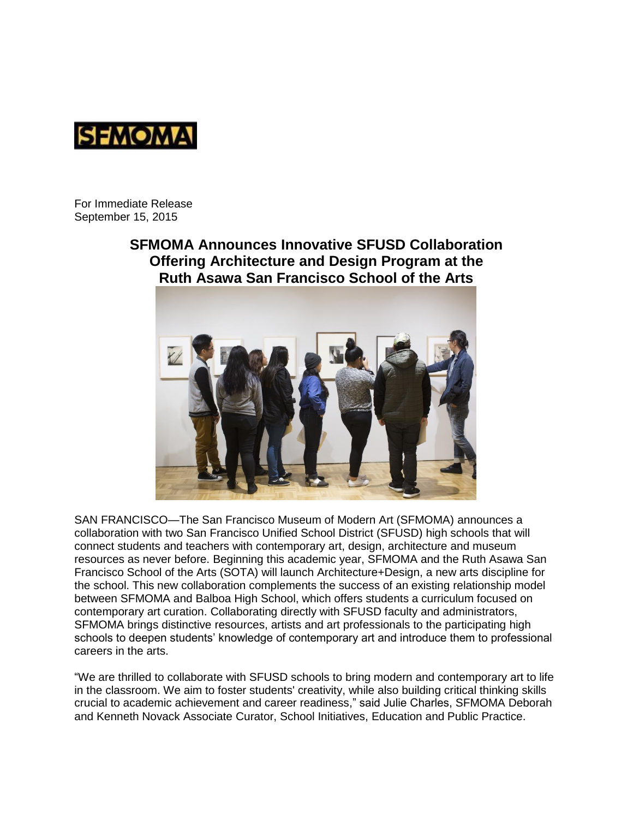

For Immediate Release September 15, 2015

# **SFMOMA Announces Innovative SFUSD Collaboration Offering Architecture and Design Program at the Ruth Asawa San Francisco School of the Arts**



SAN FRANCISCO—The San Francisco Museum of Modern Art (SFMOMA) announces a collaboration with two San Francisco Unified School District (SFUSD) high schools that will connect students and teachers with contemporary art, design, architecture and museum resources as never before. Beginning this academic year, SFMOMA and the Ruth Asawa San Francisco School of the Arts (SOTA) will launch Architecture+Design, a new arts discipline for the school. This new collaboration complements the success of an existing relationship model between SFMOMA and Balboa High School, which offers students a curriculum focused on contemporary art curation. Collaborating directly with SFUSD faculty and administrators, SFMOMA brings distinctive resources, artists and art professionals to the participating high schools to deepen students' knowledge of contemporary art and introduce them to professional careers in the arts.

"We are thrilled to collaborate with SFUSD schools to bring modern and contemporary art to life in the classroom. We aim to foster students' creativity, while also building critical thinking skills crucial to academic achievement and career readiness," said Julie Charles, SFMOMA Deborah and Kenneth Novack Associate Curator, School Initiatives, Education and Public Practice.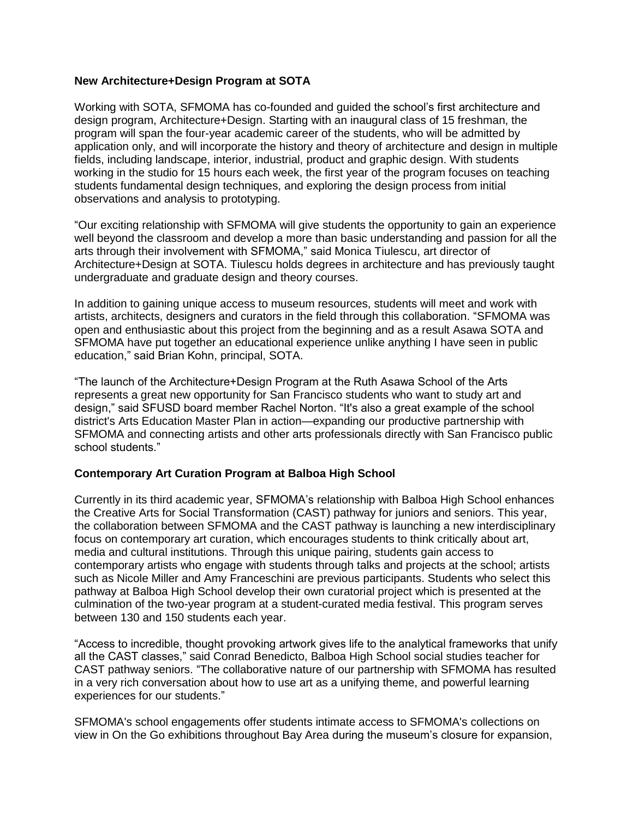# **New Architecture+Design Program at SOTA**

Working with SOTA, SFMOMA has co-founded and guided the school's first architecture and design program, Architecture+Design. Starting with an inaugural class of 15 freshman, the program will span the four-year academic career of the students, who will be admitted by application only, and will incorporate the history and theory of architecture and design in multiple fields, including landscape, interior, industrial, product and graphic design. With students working in the studio for 15 hours each week, the first year of the program focuses on teaching students fundamental design techniques, and exploring the design process from initial observations and analysis to prototyping.

"Our exciting relationship with SFMOMA will give students the opportunity to gain an experience well beyond the classroom and develop a more than basic understanding and passion for all the arts through their involvement with SFMOMA," said Monica Tiulescu, art director of Architecture+Design at SOTA. Tiulescu holds degrees in architecture and has previously taught undergraduate and graduate design and theory courses.

In addition to gaining unique access to museum resources, students will meet and work with artists, architects, designers and curators in the field through this collaboration. "SFMOMA was open and enthusiastic about this project from the beginning and as a result Asawa SOTA and SFMOMA have put together an educational experience unlike anything I have seen in public education," said Brian Kohn, principal, SOTA.

"The launch of the Architecture+Design Program at the Ruth Asawa School of the Arts represents a great new opportunity for San Francisco students who want to study art and design," said SFUSD board member Rachel Norton. "It's also a great example of the school district's Arts Education Master Plan in action—expanding our productive partnership with SFMOMA and connecting artists and other arts professionals directly with San Francisco public school students."

# **Contemporary Art Curation Program at Balboa High School**

Currently in its third academic year, SFMOMA's relationship with Balboa High School enhances the Creative Arts for Social Transformation (CAST) pathway for juniors and seniors. This year, the collaboration between SFMOMA and the CAST pathway is launching a new interdisciplinary focus on contemporary art curation, which encourages students to think critically about art, media and cultural institutions. Through this unique pairing, students gain access to contemporary artists who engage with students through talks and projects at the school; artists such as Nicole Miller and Amy Franceschini are previous participants. Students who select this pathway at Balboa High School develop their own curatorial project which is presented at the culmination of the two-year program at a student-curated media festival. This program serves between 130 and 150 students each year.

"Access to incredible, thought provoking artwork gives life to the analytical frameworks that unify all the CAST classes," said Conrad Benedicto, Balboa High School social studies teacher for CAST pathway seniors. "The collaborative nature of our partnership with SFMOMA has resulted in a very rich conversation about how to use art as a unifying theme, and powerful learning experiences for our students."

SFMOMA's school engagements offer students intimate access to SFMOMA's collections on view in On the Go exhibitions throughout Bay Area during the museum's closure for expansion,